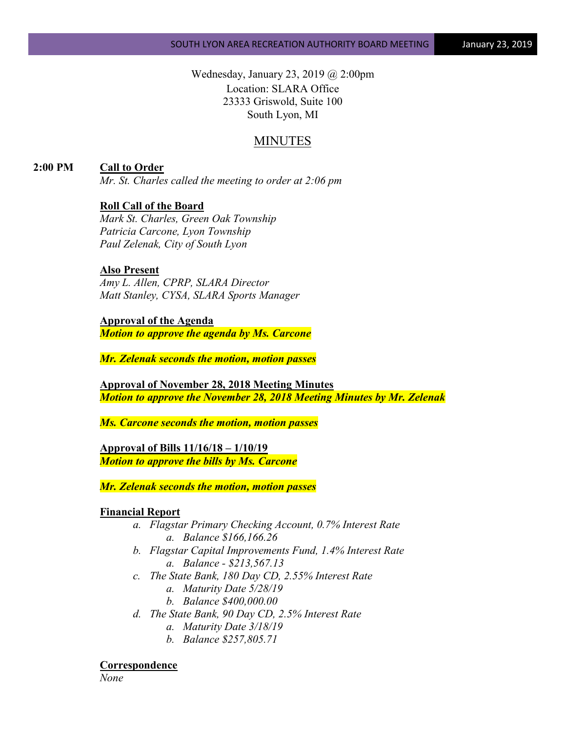Wednesday, January 23, 2019 @ 2:00pm Location: SLARA Office 23333 Griswold, Suite 100 South Lyon, MI

# MINUTES

**2:00 PM Call to Order**

*Mr. St. Charles called the meeting to order at 2:06 pm*

#### **Roll Call of the Board**

*Mark St. Charles, Green Oak Township Patricia Carcone, Lyon Township Paul Zelenak, City of South Lyon*

#### **Also Present**

*Amy L. Allen, CPRP, SLARA Director Matt Stanley, CYSA, SLARA Sports Manager*

#### **Approval of the Agenda**

*Motion to approve the agenda by Ms. Carcone*

*Mr. Zelenak seconds the motion, motion passes*

**Approval of November 28, 2018 Meeting Minutes** *Motion to approve the November 28, 2018 Meeting Minutes by Mr. Zelenak*

*Ms. Carcone seconds the motion, motion passes*

**Approval of Bills 11/16/18 – 1/10/19** *Motion to approve the bills by Ms. Carcone*

*Mr. Zelenak seconds the motion, motion passes*

#### **Financial Report**

- *a. Flagstar Primary Checking Account, 0.7% Interest Rate a. Balance \$166,166.26*
- *b. Flagstar Capital Improvements Fund, 1.4% Interest Rate a. Balance - \$213,567.13*
- *c. The State Bank, 180 Day CD, 2.55% Interest Rate*
	- *a. Maturity Date 5/28/19*
	- *b. Balance \$400,000.00*
- *d. The State Bank, 90 Day CD, 2.5% Interest Rate*
	- *a. Maturity Date 3/18/19*
	- *b. Balance \$257,805.71*

**Correspondence**

*None*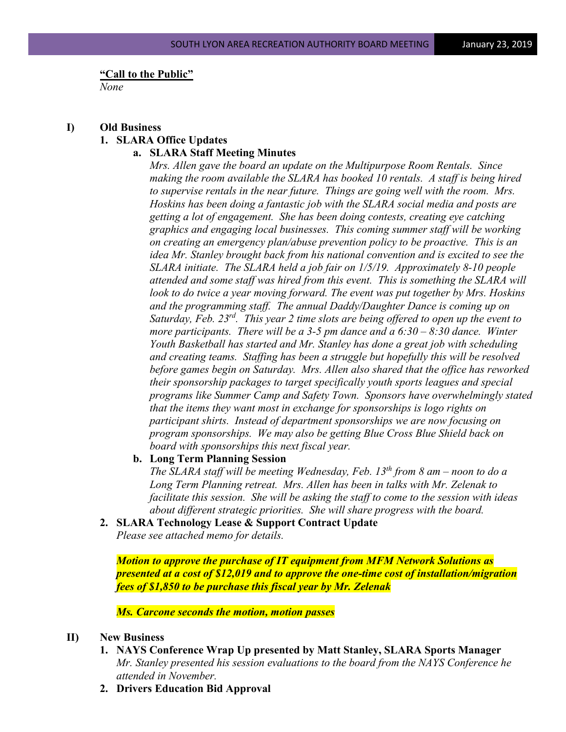#### **"Call to the Public"**

*None*

#### **I) Old Business 1. SLARA Office Updates**

## **a. SLARA Staff Meeting Minutes**

*Mrs. Allen gave the board an update on the Multipurpose Room Rentals. Since making the room available the SLARA has booked 10 rentals. A staff is being hired to supervise rentals in the near future. Things are going well with the room. Mrs. Hoskins has been doing a fantastic job with the SLARA social media and posts are getting a lot of engagement. She has been doing contests, creating eye catching graphics and engaging local businesses. This coming summer staff will be working on creating an emergency plan/abuse prevention policy to be proactive. This is an idea Mr. Stanley brought back from his national convention and is excited to see the SLARA initiate. The SLARA held a job fair on 1/5/19. Approximately 8-10 people attended and some staff was hired from this event. This is something the SLARA will*  look to do twice a year moving forward. The event was put together by Mrs. Hoskins *and the programming staff. The annual Daddy/Daughter Dance is coming up on Saturday, Feb. 23rd. This year 2 time slots are being offered to open up the event to more participants. There will be a 3-5 pm dance and a 6:30 – 8:30 dance. Winter Youth Basketball has started and Mr. Stanley has done a great job with scheduling and creating teams. Staffing has been a struggle but hopefully this will be resolved before games begin on Saturday. Mrs. Allen also shared that the office has reworked their sponsorship packages to target specifically youth sports leagues and special programs like Summer Camp and Safety Town. Sponsors have overwhelmingly stated that the items they want most in exchange for sponsorships is logo rights on participant shirts. Instead of department sponsorships we are now focusing on program sponsorships. We may also be getting Blue Cross Blue Shield back on board with sponsorships this next fiscal year.*

#### **b. Long Term Planning Session**

*The SLARA staff will be meeting Wednesday, Feb. 13th from 8 am – noon to do a Long Term Planning retreat. Mrs. Allen has been in talks with Mr. Zelenak to facilitate this session. She will be asking the staff to come to the session with ideas about different strategic priorities. She will share progress with the board.*

#### **2. SLARA Technology Lease & Support Contract Update**

*Please see attached memo for details.* 

*Motion to approve the purchase of IT equipment from MFM Network Solutions as presented at a cost of \$12,019 and to approve the one-time cost of installation/migration fees of \$1,850 to be purchase this fiscal year by Mr. Zelenak*

#### *Ms. Carcone seconds the motion, motion passes*

## **II) New Business**

- **1. NAYS Conference Wrap Up presented by Matt Stanley, SLARA Sports Manager** *Mr. Stanley presented his session evaluations to the board from the NAYS Conference he attended in November.*
- **2. Drivers Education Bid Approval**